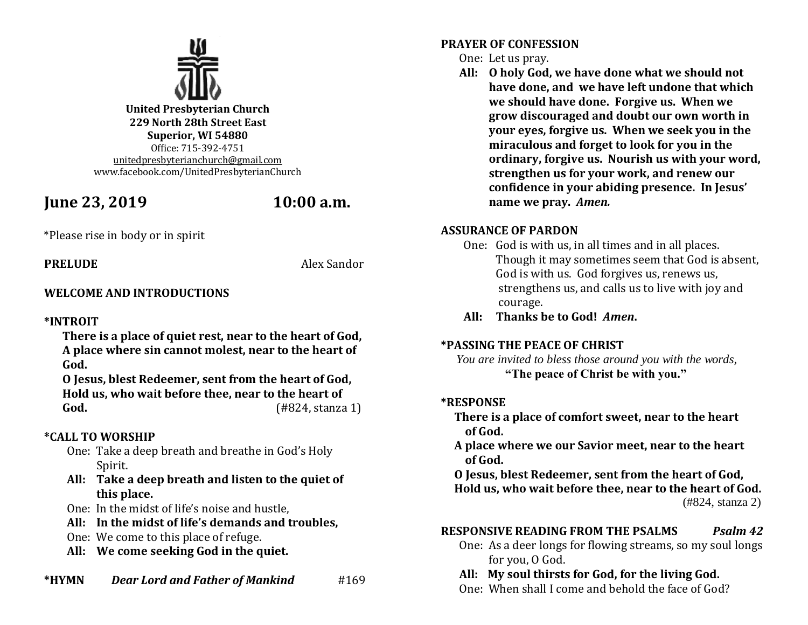

**United Presbyterian Church 229 North 28th Street East Superior, WI 54880** Office: 715-392-4751 [unitedpresbyterianchurch@gmail.com](mailto:unitedpresbyterianchurch@gmail.com) www.facebook.com/UnitedPresbyterianChurch

# **June 23, 2019 10:00 a.m.**

\*Please rise in body or in spirit

**PRELUDE** Alex Sandor

# **WELCOME AND INTRODUCTIONS**

# **\*INTROIT**

**There is a place of quiet rest, near to the heart of God, A place where sin cannot molest, near to the heart of God.**

**O Jesus, blest Redeemer, sent from the heart of God, Hold us, who wait before thee, near to the heart of God.** (#824, stanza 1)

# **\*CALL TO WORSHIP**

- One: Take a deep breath and breathe in God's Holy Spirit.
- **All: Take a deep breath and listen to the quiet of this place.**
- One: In the midst of life's noise and hustle,
- **All: In the midst of life's demands and troubles,**
- One: We come to this place of refuge.
- **All: We come seeking God in the quiet.**

### **\*HYMN** *Dear Lord and Father of Mankind* #169

## **PRAYER OF CONFESSION**

# One: Let us pray.

**All: O holy God, we have done what we should not have done, and we have left undone that which we should have done. Forgive us. When we grow discouraged and doubt our own worth in your eyes, forgive us. When we seek you in the miraculous and forget to look for you in the ordinary, forgive us. Nourish us with your word, strengthen us for your work, and renew our confidence in your abiding presence. In Jesus' name we pray.** *Amen.*

# **ASSURANCE OF PARDON**

- One: God is with us, in all times and in all places. Though it may sometimes seem that God is absent, God is with us. God forgives us, renews us, strengthens us, and calls us to live with joy and courage.
- **All: Thanks be to God!** *Amen***.**

# **\*PASSING THE PEACE OF CHRIST**

 *You are invited to bless those around you with the words,* **"The peace of Christ be with you."**

# **\*RESPONSE**

- **There is a place of comfort sweet, near to the heart of God.**
- **A place where we our Savior meet, near to the heart of God.**

 **O Jesus, blest Redeemer, sent from the heart of God, Hold us, who wait before thee, near to the heart of God.** (#824, stanza 2)

# **RESPONSIVE READING FROM THE PSALMS** *Psalm 42*

One: As a deer longs for flowing streams, so my soul longs for you, O God.

# **All: My soul thirsts for God, for the living God.**

One: When shall I come and behold the face of God?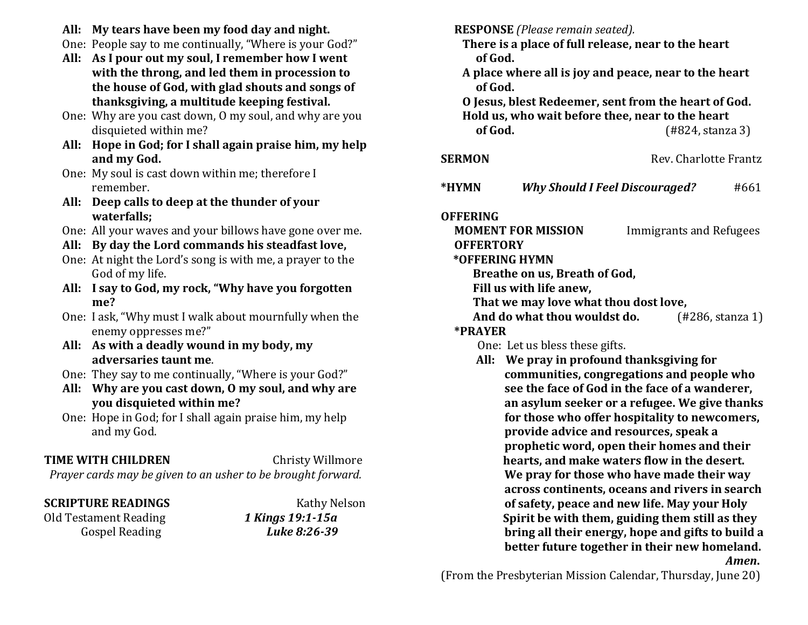- **All: My tears have been my food day and night.**
- One: People say to me continually, "Where is your God?"
- **All: As I pour out my soul, I remember how I went with the throng, and led them in procession to the house of God, with glad shouts and songs of thanksgiving, a multitude keeping festival.**
- One: Why are you cast down, O my soul, and why are you disquieted within me?
- **All: Hope in God; for I shall again praise him, my help and my God.**
- One: My soul is cast down within me; therefore I remember.
- **All: Deep calls to deep at the thunder of your waterfalls;**
- One: All your waves and your billows have gone over me.
- **All: By day the Lord commands his steadfast love,**
- One: At night the Lord's song is with me, a prayer to the God of my life.
- **All: I say to God, my rock, "Why have you forgotten me?**
- One: I ask, "Why must I walk about mournfully when the enemy oppresses me?"
- **All: As with a deadly wound in my body, my adversaries taunt me**.
- One: They say to me continually, "Where is your God?"
- **All: Why are you cast down, O my soul, and why are you disquieted within me?**
- One: Hope in God; for I shall again praise him, my help and my God.

# **TIME WITH CHILDREN** Christy Willmore

*Prayer cards may be given to an usher to be brought forward.*

Old Testament Reading *1 Kings 19:1-15a* Gospel Reading *Luke 8:26-39*

**SCRIPTURE READINGS** Kathy Nelson

 **RESPONSE** *(Please remain seated).*

- **There is a place of full release, near to the heart of God.**
- **A place where all is joy and peace, near to the heart of God.**
- **O Jesus, blest Redeemer, sent from the heart of God. Hold us, who wait before thee, near to the heart of God.** (#824, stanza 3)

| ------ |  |  |
|--------|--|--|
|        |  |  |
|        |  |  |
|        |  |  |
|        |  |  |

**\*HYMN** *Why Should I Feel Discouraged?* #661

**SERMON** Rev. Charlotte Frantz

# **OFFERING**

# **MOMENT FOR MISSION** Immigrants and Refugees  **OFFERTORY**

# **\*OFFERING HYMN**

**Breathe on us, Breath of God,**

**Fill us with life anew,**

**That we may love what thou dost love,**

**And do what thou wouldst do.** (#286, stanza 1)

# **\*PRAYER**

One: Let us bless these gifts.

 **All: We pray in profound thanksgiving for communities, congregations and people who see the face of God in the face of a wanderer, an asylum seeker or a refugee. We give thanks for those who offer hospitality to newcomers, provide advice and resources, speak a prophetic word, open their homes and their hearts, and make waters flow in the desert. We pray for those who have made their way across continents, oceans and rivers in search of safety, peace and new life. May your Holy Spirit be with them, guiding them still as they bring all their energy, hope and gifts to build a better future together in their new homeland.**  *<i>Amen*.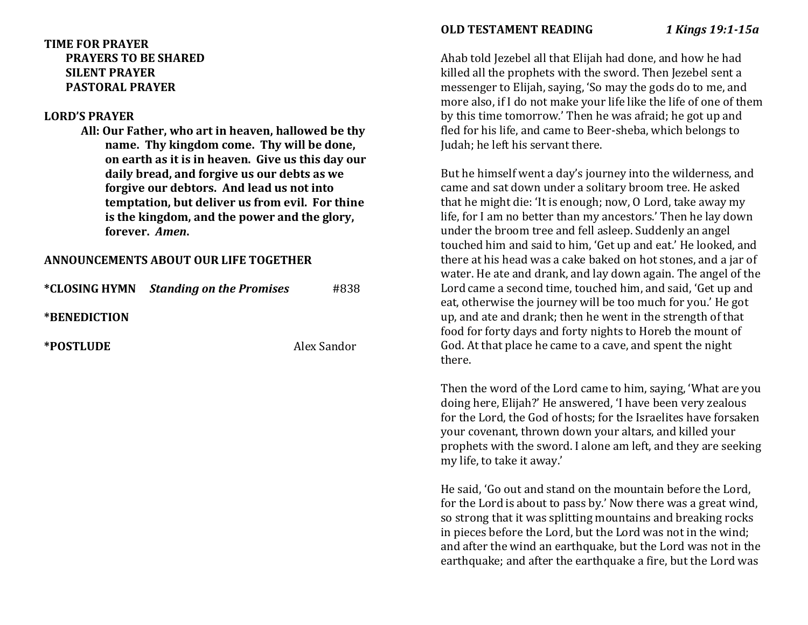### **TIME FOR PRAYER PRAYERS TO BE SHARED SILENT PRAYER PASTORAL PRAYER**

#### **LORD'S PRAYER**

**All: Our Father, who art in heaven, hallowed be thy name. Thy kingdom come. Thy will be done, on earth as it is in heaven. Give us this day our daily bread, and forgive us our debts as we forgive our debtors. And lead us not into temptation, but deliver us from evil. For thine is the kingdom, and the power and the glory, forever.** *Amen***.**

### **ANNOUNCEMENTS ABOUT OUR LIFE TOGETHER**

|                            | <i>*CLOSING HYMN Standing on the Promises</i> | #838        |
|----------------------------|-----------------------------------------------|-------------|
| <i><b>*BENEDICTION</b></i> |                                               |             |
| *POSTLUDE                  |                                               | Alex Sandor |

### **OLD TESTAMENT READING** *1 Kings 19:1-15a*

Ahab told Jezebel all that Elijah had done, and how he had killed all the prophets with the sword. Then Jezebel sent a messenger to Elijah, saying, 'So may the gods do to me, and more also, if I do not make your life like the life of one of them by this time tomorrow.' Then he was afraid; he got up and fled for his life, and came to Beer-sheba, which belongs to Judah; he left his servant there.

But he himself went a day's journey into the wilderness, and came and sat down under a solitary broom tree. He asked that he might die: 'It is enough; now, O Lord, take away my life, for I am no better than my ancestors.' Then he lay down under the broom tree and fell asleep. Suddenly an angel touched him and said to him, 'Get up and eat.' He looked, and there at his head was a cake baked on hot stones, and a jar of water. He ate and drank, and lay down again. The angel of the Lord came a second time, touched him, and said, 'Get up and eat, otherwise the journey will be too much for you.' He got up, and ate and drank; then he went in the strength of that food for forty days and forty nights to Horeb the mount of God. At that place he came to a cave, and spent the night there.

Then the word of the Lord came to him, saying, 'What are you doing here, Elijah?' He answered, 'I have been very zealous for the Lord, the God of hosts; for the Israelites have forsaken your covenant, thrown down your altars, and killed your prophets with the sword. I alone am left, and they are seeking my life, to take it away.'

He said, 'Go out and stand on the mountain before the Lord, for the Lord is about to pass by.' Now there was a great wind, so strong that it was splitting mountains and breaking rocks in pieces before the Lord, but the Lord was not in the wind; and after the wind an earthquake, but the Lord was not in the earthquake; and after the earthquake a fire, but the Lord was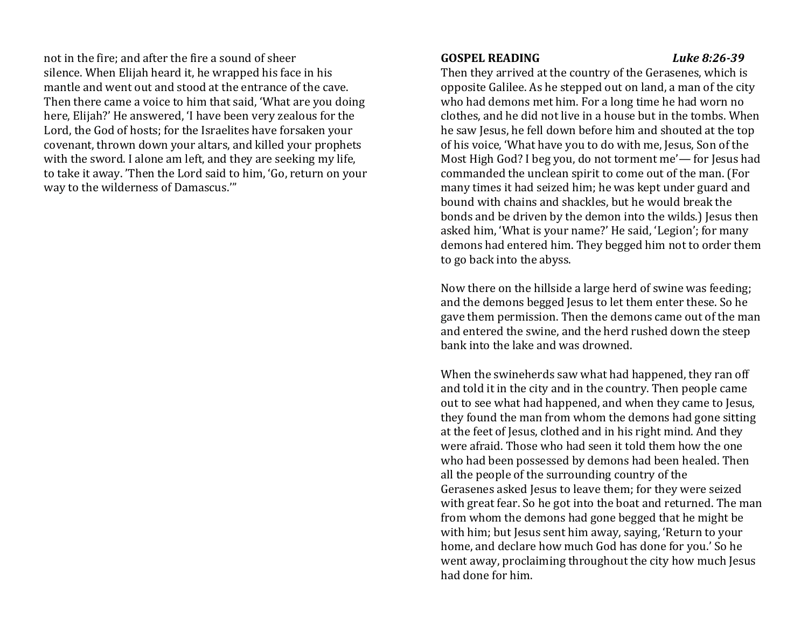not in the fire; and after the fire a sound of sheer silence. When Elijah heard it, he wrapped his face in his mantle and went out and stood at the entrance of the cave. Then there came a voice to him that said, 'What are you doing here, Elijah?' He answered, 'I have been very zealous for the Lord, the God of hosts; for the Israelites have forsaken your covenant, thrown down your altars, and killed your prophets with the sword. I alone am left, and they are seeking my life, to take it away. 'Then the Lord said to him, 'Go, return on your way to the wilderness of Damascus.'"

#### **GOSPEL READING** *Luke 8:26-39*

Then they arrived at the country of the Gerasenes, which is opposite Galilee. As he stepped out on land, a man of the city who had demons met him. For a long time he had worn no clothes, and he did not live in a house but in the tombs. When he saw Jesus, he fell down before him and shouted at the top of his voice, 'What have you to do with me, Jesus, Son of the Most High God? I beg you, do not torment me'— for Jesus had commanded the unclean spirit to come out of the man. (For many times it had seized him; he was kept under guard and bound with chains and shackles, but he would break the bonds and be driven by the demon into the wilds.) Jesus then asked him, 'What is your name?' He said, 'Legion'; for many demons had entered him. They begged him not to order them to go back into the abyss.

Now there on the hillside a large herd of swine was feeding; and the demons begged Jesus to let them enter these. So he gave them permission. Then the demons came out of the man and entered the swine, and the herd rushed down the steep bank into the lake and was drowned.

When the swineherds saw what had happened, they ran off and told it in the city and in the country. Then people came out to see what had happened, and when they came to Jesus, they found the man from whom the demons had gone sitting at the feet of Jesus, clothed and in his right mind. And they were afraid. Those who had seen it told them how the one who had been possessed by demons had been healed. Then all the people of the surrounding country of the Gerasenes asked Jesus to leave them; for they were seized with great fear. So he got into the boat and returned. The man from whom the demons had gone begged that he might be with him; but Jesus sent him away, saying, 'Return to your home, and declare how much God has done for you.' So he went away, proclaiming throughout the city how much Jesus had done for him.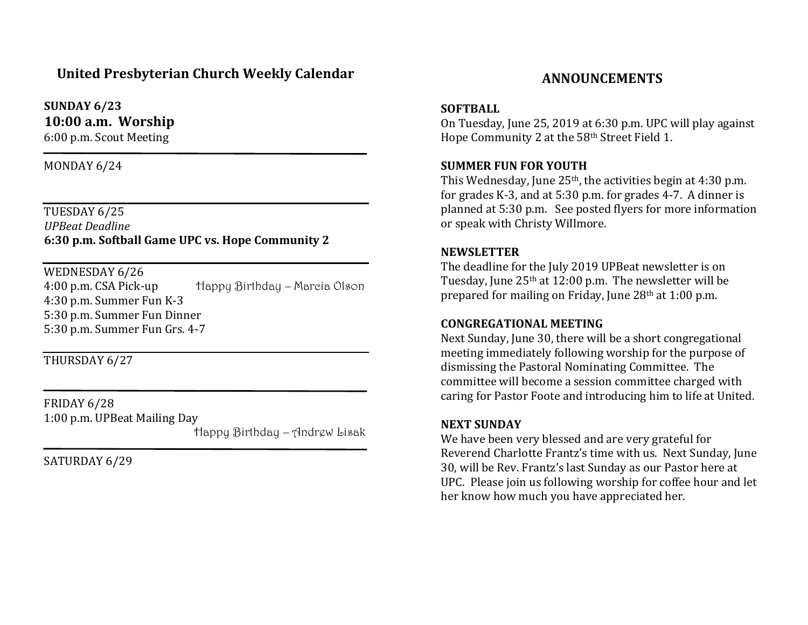# **United Presbyterian Church Weekly Calendar**

**SUNDAY 6/23 10:00 a.m. Worship**

6:00 p.m. Scout Meeting

MONDAY 6/24

TUESDAY 6/25 *UPBeat Deadline* **6:30 p.m. Softball Game UPC vs. Hope Community 2**

WEDNESDAY 6/26

4:00 p.m. CSA Pick-up Happy Birthday – Marcia Olson 4:30 p.m. Summer Fun K-3 5:30 p.m. Summer Fun Dinner 5:30 p.m. Summer Fun Grs. 4-7

THURSDAY 6/27

FRIDAY 6/28 1:00 p.m. UPBeat Mailing Day

 $\overline{a}$ 

Happy Birthday – Andrew Lisak

SATURDAY 6/29

# **ANNOUNCEMENTS**

#### **SOFTBALL**

On Tuesday, June 25, 2019 at 6:30 p.m. UPC will play against Hope Community 2 at the 58th Street Field 1.

### **SUMMER FUN FOR YOUTH**

This Wednesday, June  $25<sup>th</sup>$ , the activities begin at 4:30 p.m. for grades K-3, and at 5:30 p.m. for grades 4-7. A dinner is planned at 5:30 p.m. See posted flyers for more information or speak with Christy Willmore.

#### **NEWSLETTER**

The deadline for the July 2019 UPBeat newsletter is on Tuesday, June  $25<sup>th</sup>$  at 12:00 p.m. The newsletter will be prepared for mailing on Friday, June 28th at 1:00 p.m.

#### **CONGREGATIONAL MEETING**

Next Sunday, June 30, there will be a short congregational meeting immediately following worship for the purpose of dismissing the Pastoral Nominating Committee. The committee will become a session committee charged with caring for Pastor Foote and introducing him to life at United.

#### **NEXT SUNDAY**

We have been very blessed and are very grateful for Reverend Charlotte Frantz's time with us. Next Sunday, June 30, will be Rev. Frantz's last Sunday as our Pastor here at UPC. Please join us following worship for coffee hour and let her know how much you have appreciated her.